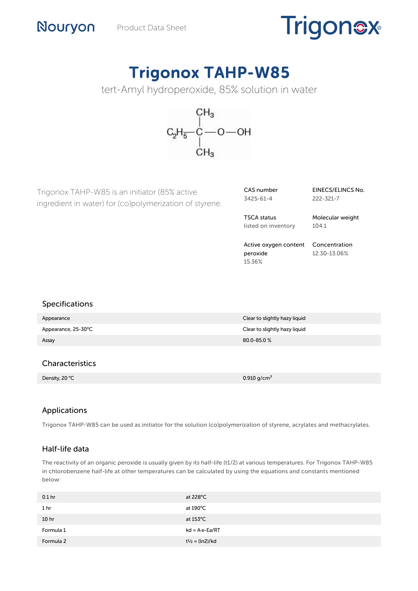# **Trigonex**

# Trigonox TAHP-W85

tert-Amyl hydroperoxide, 85% solution in water



Trigonox TAHP-W85 is an initiator (85% active ingredient in water) for (co)polymerization of styrene.

| CAS number |  |
|------------|--|
| 3425-61-4  |  |

EINECS/ELINCS No. 222-321-7

TSCA status listed on inventory Molecular weight 104.1

Active oxygen content Concentration peroxide 15.36% 12.30-13.06%

#### Specifications

Nouryon

| Appearance          | Clear to slightly hazy liquid |
|---------------------|-------------------------------|
| Appearance, 25-30°C | Clear to slightly hazy liquid |
| Assay               | 80.0-85.0%                    |

#### **Characteristics**

Density, 20 °C 0.910 g/cm $3\%$ 

## Applications

Trigonox TAHP-W85 can be used as initiator for the solution (co)polymerization of styrene, acrylates and methacrylates.

#### Half-life data

The reactivity of an organic peroxide is usually given by its half-life (t1/2) at various temperatures. For Trigonox TAHP-W85 in chlorobenzene half-life at other temperatures can be calculated by using the equations and constants mentioned below:

| 0.1 <sub>hr</sub> | at $228^{\circ}$ C       |
|-------------------|--------------------------|
| 1 <sub>hr</sub>   | at 190°C                 |
| 10 <sub>hr</sub>  | at $153^{\circ}$ C       |
| Formula 1         | $kd = A \cdot e - Ea/RT$ |
| Formula 2         | $t^{1/2} = (ln2)/kd$     |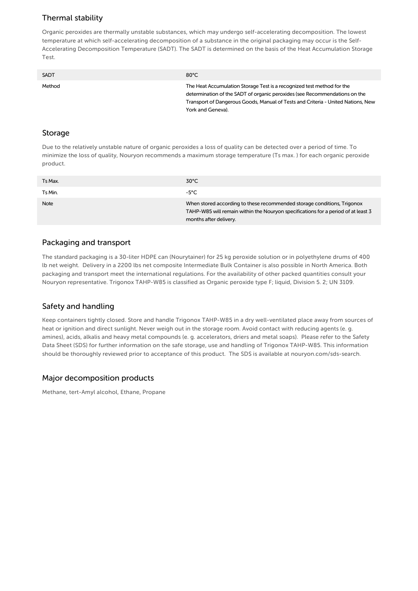### Thermal stability

Organic peroxides are thermally unstable substances, which may undergo self-accelerating decomposition. The lowest temperature at which self-accelerating decomposition of a substance in the original packaging may occur is the Self-Accelerating Decomposition Temperature (SADT). The SADT is determined on the basis of the Heat Accumulation Storage Test.

| <b>SADT</b> | $80^{\circ}$ C                                                                                                                                       |
|-------------|------------------------------------------------------------------------------------------------------------------------------------------------------|
| Method      | The Heat Accumulation Storage Test is a recognized test method for the<br>determination of the SADT of organic peroxides (see Recommendations on the |
|             | Transport of Dangerous Goods, Manual of Tests and Criteria - United Nations, New                                                                     |
|             | York and Geneva).                                                                                                                                    |

#### Storage

Due to the relatively unstable nature of organic peroxides a loss of quality can be detected over a period of time. To minimize the loss of quality, Nouryon recommends a maximum storage temperature (Ts max. ) for each organic peroxide product.

| Ts Max. | $30^{\circ}$ C                                                                                                                                                                         |
|---------|----------------------------------------------------------------------------------------------------------------------------------------------------------------------------------------|
| Ts Min. | -5°C                                                                                                                                                                                   |
| Note    | When stored according to these recommended storage conditions, Trigonox<br>TAHP-W85 will remain within the Nouryon specifications for a period of at least 3<br>months after delivery. |

#### Packaging and transport

The standard packaging is a 30-liter HDPE can (Nourytainer) for 25 kg peroxide solution or in polyethylene drums of 400 lb net weight. Delivery in a 2200 lbs net composite Intermediate Bulk Container is also possible in North America. Both packaging and transport meet the international regulations. For the availability of other packed quantities consult your Nouryon representative. Trigonox TAHP-W85 is classified as Organic peroxide type F; liquid, Division 5. 2; UN 3109.

#### Safety and handling

Keep containers tightly closed. Store and handle Trigonox TAHP-W85 in a dry well-ventilated place away from sources of heat or ignition and direct sunlight. Never weigh out in the storage room. Avoid contact with reducing agents (e. g. amines), acids, alkalis and heavy metal compounds (e. g. accelerators, driers and metal soaps). Please refer to the Safety Data Sheet (SDS) for further information on the safe storage, use and handling of Trigonox TAHP-W85. This information should be thoroughly reviewed prior to acceptance of this product. The SDS is available at nouryon.com/sds-search.

#### Major decomposition products

Methane, tert-Amyl alcohol, Ethane, Propane